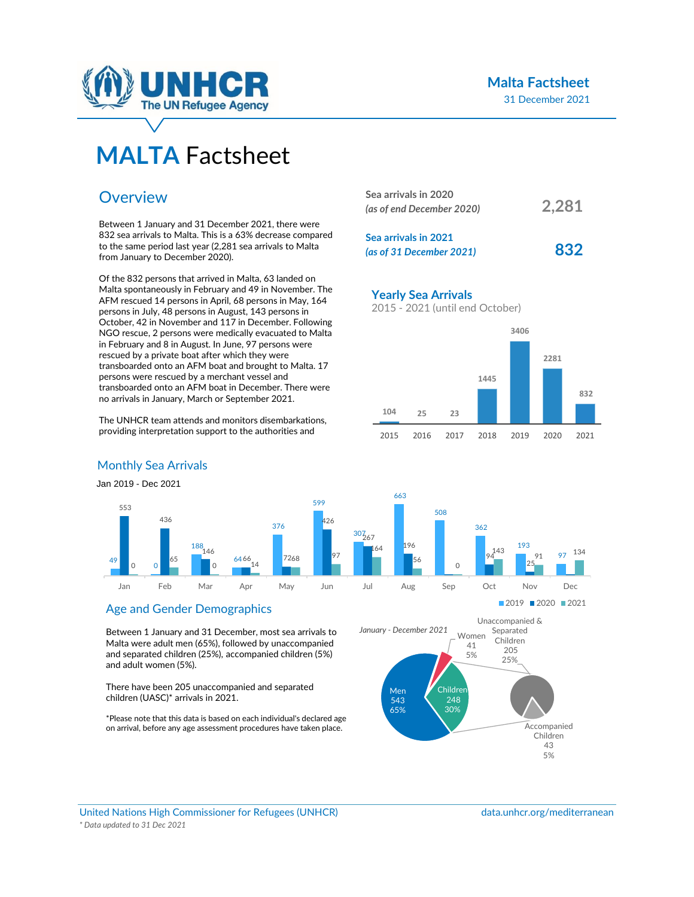

# **MALTA** Factsheet

# **Overview**

Between 1 January and 31 December 2021, there were 832 sea arrivals to Malta. This is a 63% decrease compared to the same period last year (2,281 sea arrivals to Malta from January to December 2020).

Of the 832 persons that arrived in Malta, 63 landed on Malta spontaneously in February and 49 in November. The AFM rescued 14 persons in April, 68 persons in May, 164 persons in July, 48 persons in August, 143 persons in October, 42 in November and 117 in December. Following NGO rescue, 2 persons were medically evacuated to Malta in February and 8 in August. In June, 97 persons were rescued by a private boat after which they were transboarded onto an AFM boat and brought to Malta. 17 persons were rescued by a merchant vessel and transboarded onto an AFM boat in December. There were no arrivals in January, March or September 2021.

The UNHCR team attends and monitors disembarkations, providing interpretation support to the authorities and

| Sea arrivals in 2020<br>(as of end December 2020) | 2,281 |
|---------------------------------------------------|-------|
| Sea arrivals in 2021<br>(as of 31 December 2021)  | 832   |

**Yearly Sea Arrivals**

663

164

196

56

508

 $\overline{0}$ 

2015 - 2021 (until end October)



362

94

143

193

 $0<sub>7</sub>$ 

97 134

### Monthly Sea Arrivals

Jan 2019 - Dec 2021



### Age and Gender Demographics

Between 1 January and 31 December, most sea arrivals to Malta were adult men (65%), followed by unaccompanied and separated children (25%), accompanied children (5%) and adult women (5%).

There have been 205 unaccompanied and separated children (UASC)\* arrivals in 2021.

\*Please note that this data is based on each individual's declared age on arrival, before any age assessment procedures have taken place.